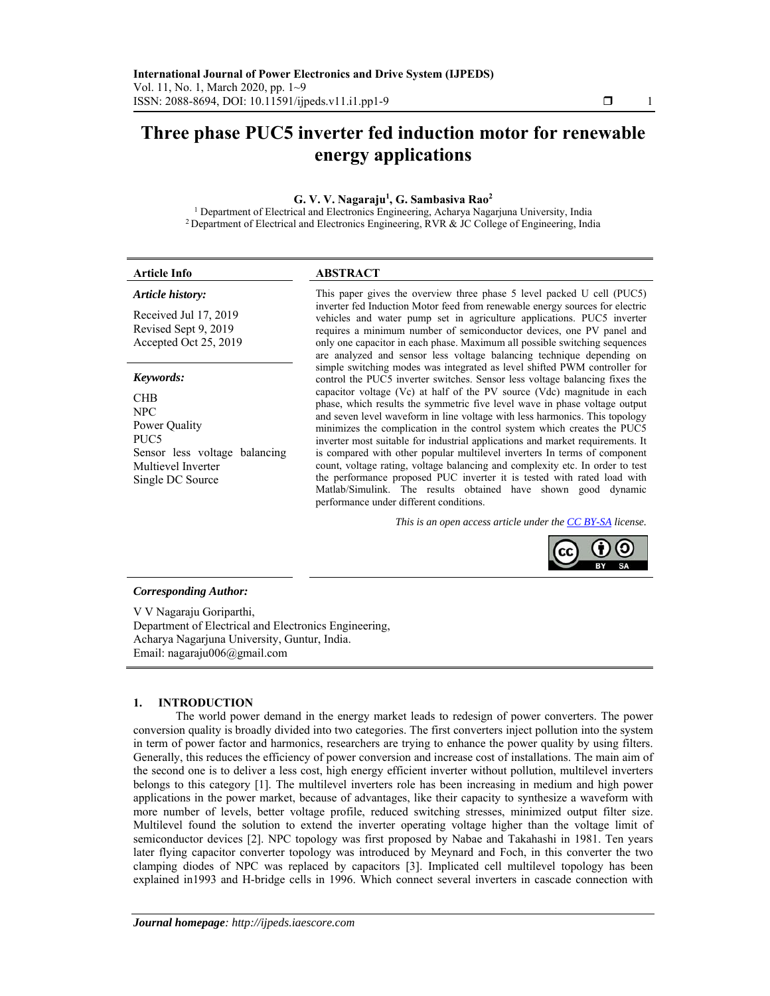# **Three phase PUC5 inverter fed induction motor for renewable energy applications**

## **G. V. V. Nagaraju1 , G. Sambasiva Rao2**

<sup>1</sup> Department of Electrical and Electronics Engineering, Acharya Nagarjuna University, India <sup>2</sup> Department of Electrical and Electronics Engineering, RVR & JC College of Engineering, India

| <b>Article Info</b>                                                                                                                | <b>ABSTRACT</b>                                                                                                                                                                                                                                                                                                                                                                                                                                                                                                                                                                                                                                                                                                                                        |
|------------------------------------------------------------------------------------------------------------------------------------|--------------------------------------------------------------------------------------------------------------------------------------------------------------------------------------------------------------------------------------------------------------------------------------------------------------------------------------------------------------------------------------------------------------------------------------------------------------------------------------------------------------------------------------------------------------------------------------------------------------------------------------------------------------------------------------------------------------------------------------------------------|
| Article history:                                                                                                                   | This paper gives the overview three phase 5 level packed U cell (PUC5)                                                                                                                                                                                                                                                                                                                                                                                                                                                                                                                                                                                                                                                                                 |
| Received Jul 17, 2019<br>Revised Sept 9, 2019<br>Accepted Oct 25, 2019                                                             | inverter fed Induction Motor feed from renewable energy sources for electric<br>vehicles and water pump set in agriculture applications. PUC5 inverter<br>requires a minimum number of semiconductor devices, one PV panel and<br>only one capacitor in each phase. Maximum all possible switching sequences<br>are analyzed and sensor less voltage balancing technique depending on                                                                                                                                                                                                                                                                                                                                                                  |
| Keywords:                                                                                                                          | simple switching modes was integrated as level shifted PWM controller for<br>control the PUC5 inverter switches. Sensor less voltage balancing fixes the                                                                                                                                                                                                                                                                                                                                                                                                                                                                                                                                                                                               |
| <b>CHB</b><br>NPC.<br>Power Quality<br>PUC <sub>5</sub><br>Sensor less voltage balancing<br>Multievel Inverter<br>Single DC Source | capacitor voltage (Vc) at half of the PV source (Vdc) magnitude in each<br>phase, which results the symmetric five level wave in phase voltage output<br>and seven level waveform in line voltage with less harmonics. This topology<br>minimizes the complication in the control system which creates the PUC5<br>inverter most suitable for industrial applications and market requirements. It<br>is compared with other popular multilevel inverters In terms of component<br>count, voltage rating, voltage balancing and complexity etc. In order to test<br>the performance proposed PUC inverter it is tested with rated load with<br>Matlab/Simulink. The results obtained have shown good dynamic<br>performance under different conditions. |

*This is an open access article under the CC BY-SA license.* 



## *Corresponding Author:*

V V Nagaraju Goriparthi, Department of Electrical and Electronics Engineering, Acharya Nagarjuna University, Guntur, India. Email: nagaraju006@gmail.com

# **1. INTRODUCTION**

The world power demand in the energy market leads to redesign of power converters. The power conversion quality is broadly divided into two categories. The first converters inject pollution into the system in term of power factor and harmonics, researchers are trying to enhance the power quality by using filters. Generally, this reduces the efficiency of power conversion and increase cost of installations. The main aim of the second one is to deliver a less cost, high energy efficient inverter without pollution, multilevel inverters belongs to this category [1]. The multilevel inverters role has been increasing in medium and high power applications in the power market, because of advantages, like their capacity to synthesize a waveform with more number of levels, better voltage profile, reduced switching stresses, minimized output filter size. Multilevel found the solution to extend the inverter operating voltage higher than the voltage limit of semiconductor devices [2]. NPC topology was first proposed by Nabae and Takahashi in 1981. Ten years later flying capacitor converter topology was introduced by Meynard and Foch, in this converter the two clamping diodes of NPC was replaced by capacitors [3]. Implicated cell multilevel topology has been explained in1993 and H-bridge cells in 1996. Which connect several inverters in cascade connection with

֖֚֚֚֬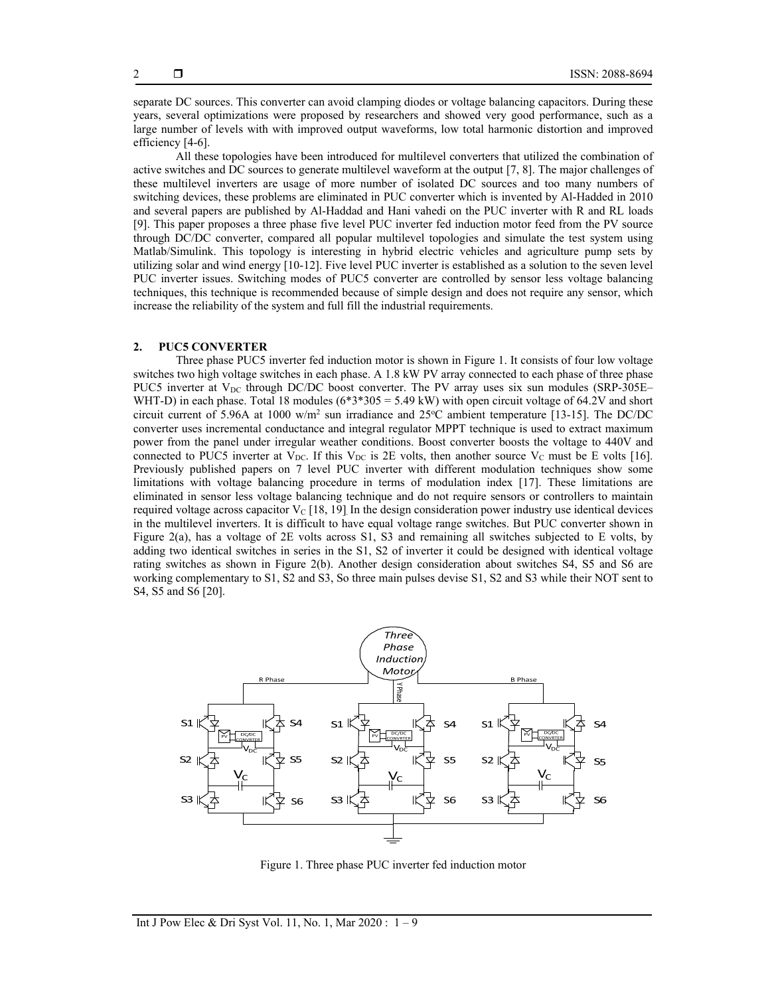separate DC sources. This converter can avoid clamping diodes or voltage balancing capacitors. During these years, several optimizations were proposed by researchers and showed very good performance, such as a large number of levels with with improved output waveforms, low total harmonic distortion and improved efficiency [4-6].

All these topologies have been introduced for multilevel converters that utilized the combination of active switches and DC sources to generate multilevel waveform at the output [7, 8]. The major challenges of these multilevel inverters are usage of more number of isolated DC sources and too many numbers of switching devices, these problems are eliminated in PUC converter which is invented by Al-Hadded in 2010 and several papers are published by Al-Haddad and Hani vahedi on the PUC inverter with R and RL loads [9]. This paper proposes a three phase five level PUC inverter fed induction motor feed from the PV source through DC/DC converter, compared all popular multilevel topologies and simulate the test system using Matlab/Simulink. This topology is interesting in hybrid electric vehicles and agriculture pump sets by utilizing solar and wind energy [10-12]. Five level PUC inverter is established as a solution to the seven level PUC inverter issues. Switching modes of PUC5 converter are controlled by sensor less voltage balancing techniques, this technique is recommended because of simple design and does not require any sensor, which increase the reliability of the system and full fill the industrial requirements.

# **2. PUC5 CONVERTER**

Three phase PUC5 inverter fed induction motor is shown in Figure 1. It consists of four low voltage switches two high voltage switches in each phase. A 1.8 kW PV array connected to each phase of three phase PUC5 inverter at  $V_{DC}$  through DC/DC boost converter. The PV array uses six sun modules (SRP-305E– WHT-D) in each phase. Total 18 modules ( $6*3*305 = 5.49$  kW) with open circuit voltage of 64.2V and short circuit current of 5.96A at 1000 w/m<sup>2</sup> sun irradiance and  $25^{\circ}$ C ambient temperature [13-15]. The DC/DC converter uses incremental conductance and integral regulator MPPT technique is used to extract maximum power from the panel under irregular weather conditions. Boost converter boosts the voltage to 440V and connected to PUC5 inverter at  $V_{DC}$ . If this  $V_{DC}$  is 2E volts, then another source  $V_C$  must be E volts [16]. Previously published papers on 7 level PUC inverter with different modulation techniques show some limitations with voltage balancing procedure in terms of modulation index [17]. These limitations are eliminated in sensor less voltage balancing technique and do not require sensors or controllers to maintain required voltage across capacitor  $V_c$  [18, 19]. In the design consideration power industry use identical devices in the multilevel inverters. It is difficult to have equal voltage range switches. But PUC converter shown in Figure 2(a), has a voltage of 2E volts across S1, S3 and remaining all switches subjected to E volts, by adding two identical switches in series in the S1, S2 of inverter it could be designed with identical voltage rating switches as shown in Figure 2(b). Another design consideration about switches S4, S5 and S6 are working complementary to S1, S2 and S3, So three main pulses devise S1, S2 and S3 while their NOT sent to S4, S5 and S6 [20].



Figure 1. Three phase PUC inverter fed induction motor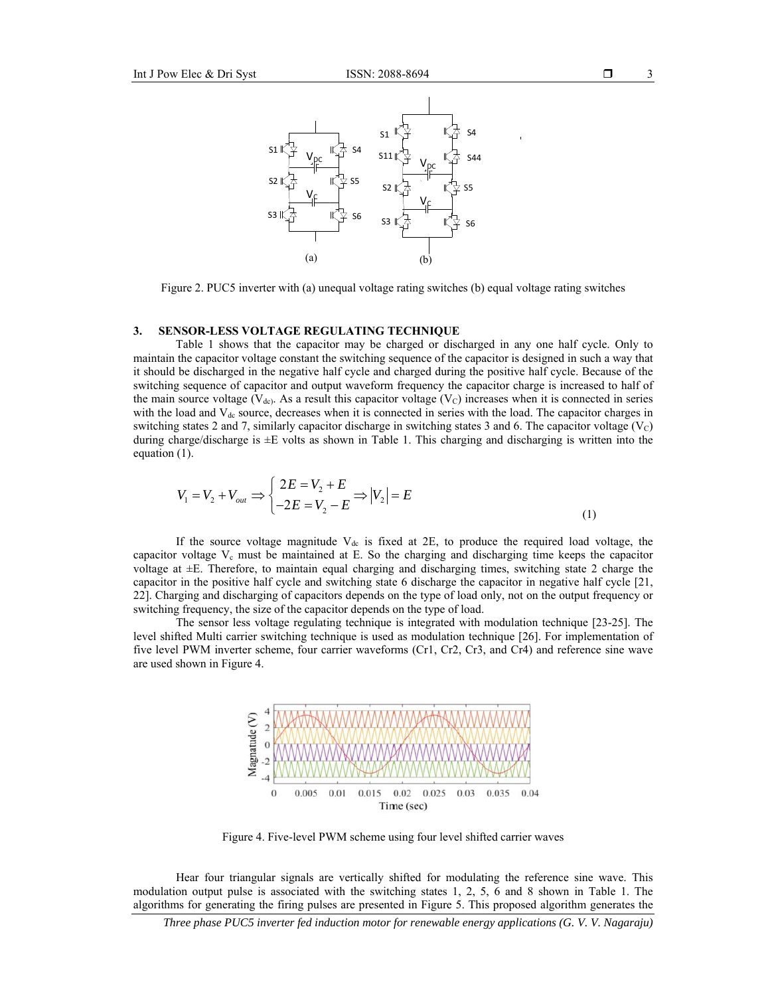



Figure 2. PUC5 inverter with (a) unequal voltage rating switches (b) equal voltage rating switches

#### **3. SENSOR-LESS VOLTAGE REGULATING TECHNIQUE**

Table 1 shows that the capacitor may be charged or discharged in any one half cycle. Only to maintain the capacitor voltage constant the switching sequence of the capacitor is designed in such a way that it should be discharged in the negative half cycle and charged during the positive half cycle. Because of the switching sequence of capacitor and output waveform frequency the capacitor charge is increased to half of the main source voltage (V<sub>dc</sub>). As a result this capacitor voltage (V<sub>c</sub>) increases when it is connected in series with the load and  $V_{dc}$  source, decreases when it is connected in series with the load. The capacitor charges in switching states 2 and 7, similarly capacitor discharge in switching states 3 and 6. The capacitor voltage  $(V<sub>C</sub>)$ during charge/discharge is ±E volts as shown in Table 1. This charging and discharging is written into the equation (1).

$$
V_1 = V_2 + V_{out} \implies \begin{cases} 2E = V_2 + E \\ -2E = V_2 - E \end{cases} \implies |V_2| = E \tag{1}
$$

If the source voltage magnitude  $V_{dc}$  is fixed at 2E, to produce the required load voltage, the capacitor voltage  $V_c$  must be maintained at E. So the charging and discharging time keeps the capacitor voltage at ±E. Therefore, to maintain equal charging and discharging times, switching state 2 charge the capacitor in the positive half cycle and switching state 6 discharge the capacitor in negative half cycle [21, 22]. Charging and discharging of capacitors depends on the type of load only, not on the output frequency or switching frequency, the size of the capacitor depends on the type of load.

The sensor less voltage regulating technique is integrated with modulation technique [23-25]. The level shifted Multi carrier switching technique is used as modulation technique [26]. For implementation of five level PWM inverter scheme, four carrier waveforms (Cr1, Cr2, Cr3, and Cr4) and reference sine wave are used shown in Figure 4.



Figure 4. Five-level PWM scheme using four level shifted carrier waves

Hear four triangular signals are vertically shifted for modulating the reference sine wave. This modulation output pulse is associated with the switching states 1, 2, 5, 6 and 8 shown in Table 1. The algorithms for generating the firing pulses are presented in Figure 5. This proposed algorithm generates the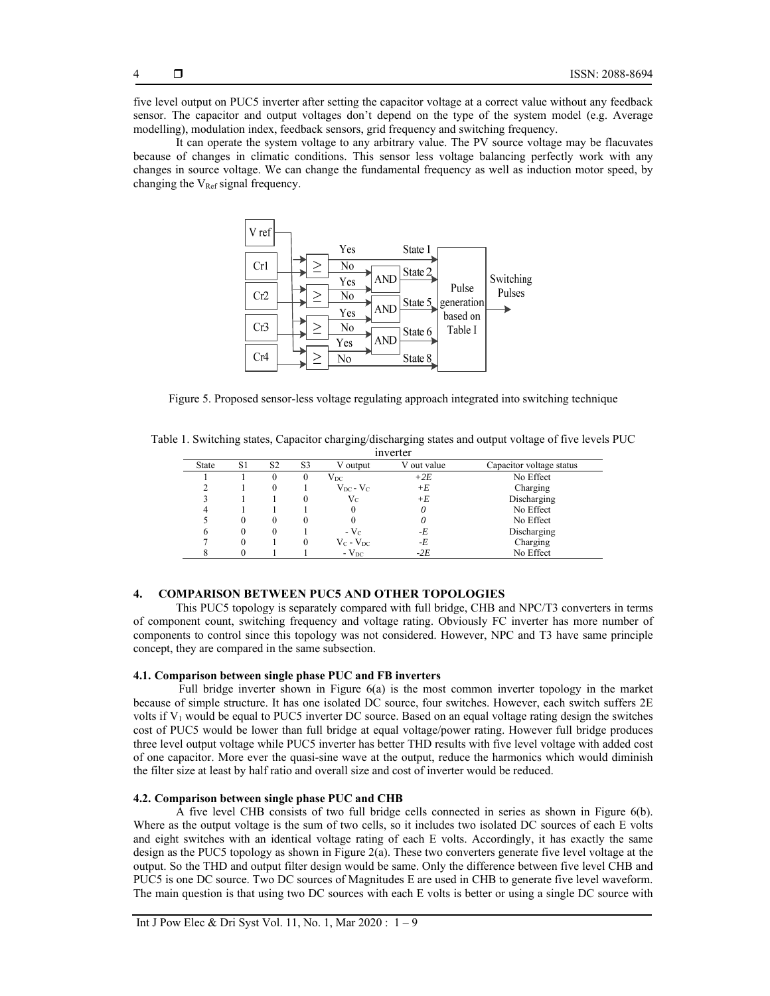five level output on PUC5 inverter after setting the capacitor voltage at a correct value without any feedback sensor. The capacitor and output voltages don't depend on the type of the system model (e.g. Average modelling), modulation index, feedback sensors, grid frequency and switching frequency.

It can operate the system voltage to any arbitrary value. The PV source voltage may be flacuvates because of changes in climatic conditions. This sensor less voltage balancing perfectly work with any changes in source voltage. We can change the fundamental frequency as well as induction motor speed, by changing the  $V_{Ref}$  signal frequency.



Figure 5. Proposed sensor-less voltage regulating approach integrated into switching technique

| Table 1. Switching states, Capacitor charging/discharging states and output voltage of five levels PUC |  |          |  |  |  |
|--------------------------------------------------------------------------------------------------------|--|----------|--|--|--|
|                                                                                                        |  | inverter |  |  |  |

| 111 v v 1 i v 1 |    |                |    |                  |             |                          |  |  |  |
|-----------------|----|----------------|----|------------------|-------------|--------------------------|--|--|--|
| State           | S1 | S <sub>2</sub> | S3 | V output         | V out value | Capacitor voltage status |  |  |  |
|                 |    |                | v  | $\rm V_{DC}$     | $+2E$       | No Effect                |  |  |  |
|                 |    | $_{0}$         |    | $V_{DC} - V_C$   | $+E$        | Charging                 |  |  |  |
|                 |    |                |    | $\rm V_C$        | +E          | Discharging              |  |  |  |
|                 |    |                |    | O                |             | No Effect                |  |  |  |
|                 | 0  |                |    |                  |             | No Effect                |  |  |  |
| o               | 0  |                |    | $-Vc$            | -E          | Discharging              |  |  |  |
|                 |    |                |    | $V_C$ - $V_{DC}$ | -E          | Charging                 |  |  |  |
|                 |    |                |    | $-V_{DC}$        | $-2E$       | No Effect                |  |  |  |

# **4. COMPARISON BETWEEN PUC5 AND OTHER TOPOLOGIES**

This PUC5 topology is separately compared with full bridge, CHB and NPC/T3 converters in terms of component count, switching frequency and voltage rating. Obviously FC inverter has more number of components to control since this topology was not considered. However, NPC and T3 have same principle concept, they are compared in the same subsection.

## **4.1. Comparison between single phase PUC and FB inverters**

 Full bridge inverter shown in Figure 6(a) is the most common inverter topology in the market because of simple structure. It has one isolated DC source, four switches. However, each switch suffers 2E volts if  $V_1$  would be equal to PUC5 inverter DC source. Based on an equal voltage rating design the switches cost of PUC5 would be lower than full bridge at equal voltage/power rating. However full bridge produces three level output voltage while PUC5 inverter has better THD results with five level voltage with added cost of one capacitor. More ever the quasi-sine wave at the output, reduce the harmonics which would diminish the filter size at least by half ratio and overall size and cost of inverter would be reduced.

## **4.2. Comparison between single phase PUC and CHB**

A five level CHB consists of two full bridge cells connected in series as shown in Figure 6(b). Where as the output voltage is the sum of two cells, so it includes two isolated DC sources of each E volts and eight switches with an identical voltage rating of each E volts. Accordingly, it has exactly the same design as the PUC5 topology as shown in Figure 2(a). These two converters generate five level voltage at the output. So the THD and output filter design would be same. Only the difference between five level CHB and PUC5 is one DC source. Two DC sources of Magnitudes E are used in CHB to generate five level waveform. The main question is that using two DC sources with each E volts is better or using a single DC source with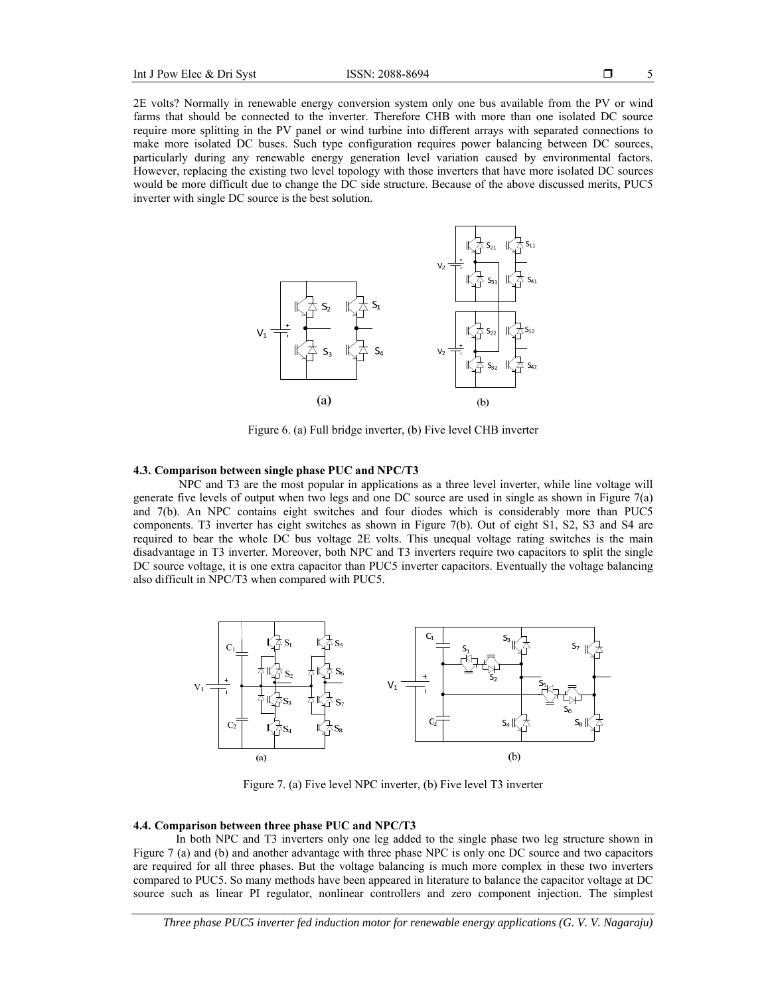2E volts? Normally in renewable energy conversion system only one bus available from the PV or wind farms that should be connected to the inverter. Therefore CHB with more than one isolated DC source require more splitting in the PV panel or wind turbine into different arrays with separated connections to make more isolated DC buses. Such type configuration requires power balancing between DC sources, particularly during any renewable energy generation level variation caused by environmental factors. However, replacing the existing two level topology with those inverters that have more isolated DC sources would be more difficult due to change the DC side structure. Because of the above discussed merits, PUC5 inverter with single DC source is the best solution.



Figure 6. (a) Full bridge inverter, (b) Five level CHB inverter

#### **4.3. Comparison between single phase PUC and NPC/T3**

 NPC and T3 are the most popular in applications as a three level inverter, while line voltage will generate five levels of output when two legs and one DC source are used in single as shown in Figure 7(a) and 7(b). An NPC contains eight switches and four diodes which is considerably more than PUC5 components. T3 inverter has eight switches as shown in Figure 7(b). Out of eight S1, S2, S3 and S4 are required to bear the whole DC bus voltage 2E volts. This unequal voltage rating switches is the main disadvantage in T3 inverter. Moreover, both NPC and T3 inverters require two capacitors to split the single DC source voltage, it is one extra capacitor than PUC5 inverter capacitors. Eventually the voltage balancing also difficult in NPC/T3 when compared with PUC5.



Figure 7. (a) Five level NPC inverter, (b) Five level T3 inverter

### **4.4. Comparison between three phase PUC and NPC/T3**

In both NPC and T3 inverters only one leg added to the single phase two leg structure shown in Figure 7 (a) and (b) and another advantage with three phase NPC is only one DC source and two capacitors are required for all three phases. But the voltage balancing is much more complex in these two inverters compared to PUC5. So many methods have been appeared in literature to balance the capacitor voltage at DC source such as linear PI regulator, nonlinear controllers and zero component injection. The simplest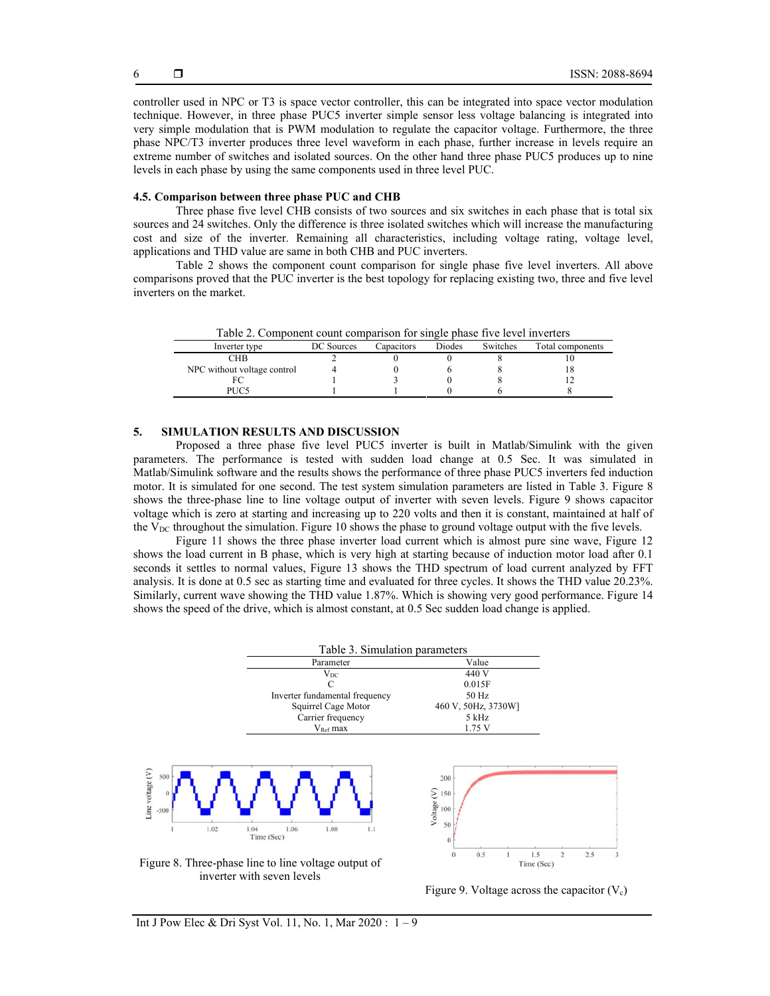controller used in NPC or T3 is space vector controller, this can be integrated into space vector modulation technique. However, in three phase PUC5 inverter simple sensor less voltage balancing is integrated into very simple modulation that is PWM modulation to regulate the capacitor voltage. Furthermore, the three phase NPC/T3 inverter produces three level waveform in each phase, further increase in levels require an extreme number of switches and isolated sources. On the other hand three phase PUC5 produces up to nine levels in each phase by using the same components used in three level PUC.

## **4.5. Comparison between three phase PUC and CHB**

Three phase five level CHB consists of two sources and six switches in each phase that is total six sources and 24 switches. Only the difference is three isolated switches which will increase the manufacturing cost and size of the inverter. Remaining all characteristics, including voltage rating, voltage level, applications and THD value are same in both CHB and PUC inverters.

Table 2 shows the component count comparison for single phase five level inverters. All above comparisons proved that the PUC inverter is the best topology for replacing existing two, three and five level inverters on the market.

| Table 2. Component count comparison for single phase five level inverters |  |  |  |
|---------------------------------------------------------------------------|--|--|--|
|                                                                           |  |  |  |
|                                                                           |  |  |  |

| Inverter type               | DC Sources | Capacitors | Diodes | Switches | Total components |
|-----------------------------|------------|------------|--------|----------|------------------|
| CНB                         |            |            |        |          |                  |
| NPC without voltage control |            |            |        |          | 10               |
|                             |            |            |        |          |                  |
| PUC5                        |            |            |        |          |                  |
|                             |            |            |        |          |                  |

#### **5. SIMULATION RESULTS AND DISCUSSION**

Proposed a three phase five level PUC5 inverter is built in Matlab/Simulink with the given parameters. The performance is tested with sudden load change at 0.5 Sec. It was simulated in Matlab/Simulink software and the results shows the performance of three phase PUC5 inverters fed induction motor. It is simulated for one second. The test system simulation parameters are listed in Table 3. Figure 8 shows the three-phase line to line voltage output of inverter with seven levels. Figure 9 shows capacitor voltage which is zero at starting and increasing up to 220 volts and then it is constant, maintained at half of the  $V_{DC}$  throughout the simulation. Figure 10 shows the phase to ground voltage output with the five levels.

Figure 11 shows the three phase inverter load current which is almost pure sine wave, Figure 12 shows the load current in B phase, which is very high at starting because of induction motor load after 0.1 seconds it settles to normal values, Figure 13 shows the THD spectrum of load current analyzed by FFT analysis. It is done at 0.5 sec as starting time and evaluated for three cycles. It shows the THD value 20.23%. Similarly, current wave showing the THD value 1.87%. Which is showing very good performance. Figure 14 shows the speed of the drive, which is almost constant, at 0.5 Sec sudden load change is applied.



inverter with seven levels

Figure 9. Voltage across the capacitor  $(V_c)$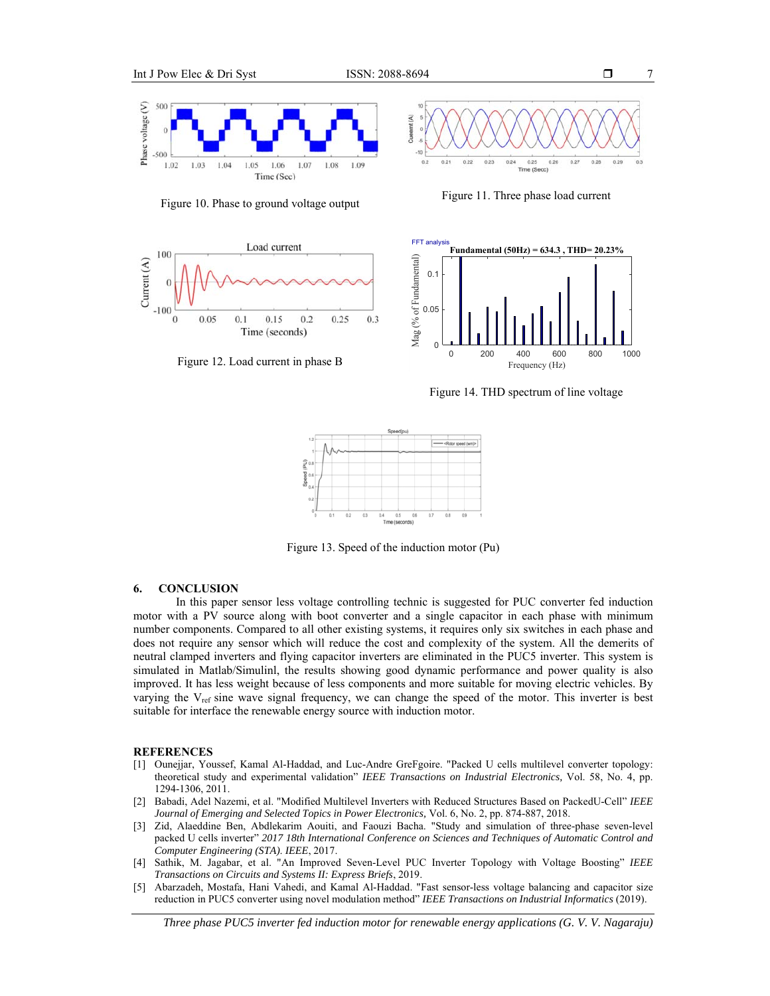7





Figure 10. Phase to ground voltage output Figure 11. Three phase load current



Figure 12. Load current in phase B

0 200 400 600 800 1000 Frequency (Hz) 0 0.05 0.1 **Fundamental (50Hz) = 634.3 , THD= 20.23%**

Figure 14. THD spectrum of line voltage



Figure 13. Speed of the induction motor (Pu)

## **6. CONCLUSION**

In this paper sensor less voltage controlling technic is suggested for PUC converter fed induction motor with a PV source along with boot converter and a single capacitor in each phase with minimum number components. Compared to all other existing systems, it requires only six switches in each phase and does not require any sensor which will reduce the cost and complexity of the system. All the demerits of neutral clamped inverters and flying capacitor inverters are eliminated in the PUC5 inverter. This system is simulated in Matlab/Simulinl, the results showing good dynamic performance and power quality is also improved. It has less weight because of less components and more suitable for moving electric vehicles. By varying the V<sub>ref</sub> sine wave signal frequency, we can change the speed of the motor. This inverter is best suitable for interface the renewable energy source with induction motor.

#### **REFERENCES**

- [1] Ounejjar, Youssef, Kamal Al-Haddad, and Luc-Andre GreFgoire. "Packed U cells multilevel converter topology: theoretical study and experimental validation" *IEEE Transactions on Industrial Electronics,* Vol. 58, No. 4, pp. 1294-1306, 2011.
- [2] Babadi, Adel Nazemi, et al. "Modified Multilevel Inverters with Reduced Structures Based on PackedU-Cell" *IEEE Journal of Emerging and Selected Topics in Power Electronics,* Vol. 6, No. 2, pp. 874-887, 2018.
- [3] Zid, Alaeddine Ben, Abdlekarim Aouiti, and Faouzi Bacha. "Study and simulation of three-phase seven-level packed U cells inverter" *2017 18th International Conference on Sciences and Techniques of Automatic Control and Computer Engineering (STA)*. *IEEE*, 2017.
- [4] Sathik, M. Jagabar, et al. "An Improved Seven-Level PUC Inverter Topology with Voltage Boosting" *IEEE Transactions on Circuits and Systems II: Express Briefs*, 2019.
- [5] Abarzadeh, Mostafa, Hani Vahedi, and Kamal Al-Haddad. "Fast sensor-less voltage balancing and capacitor size reduction in PUC5 converter using novel modulation method" *IEEE Transactions on Industrial Informatics* (2019).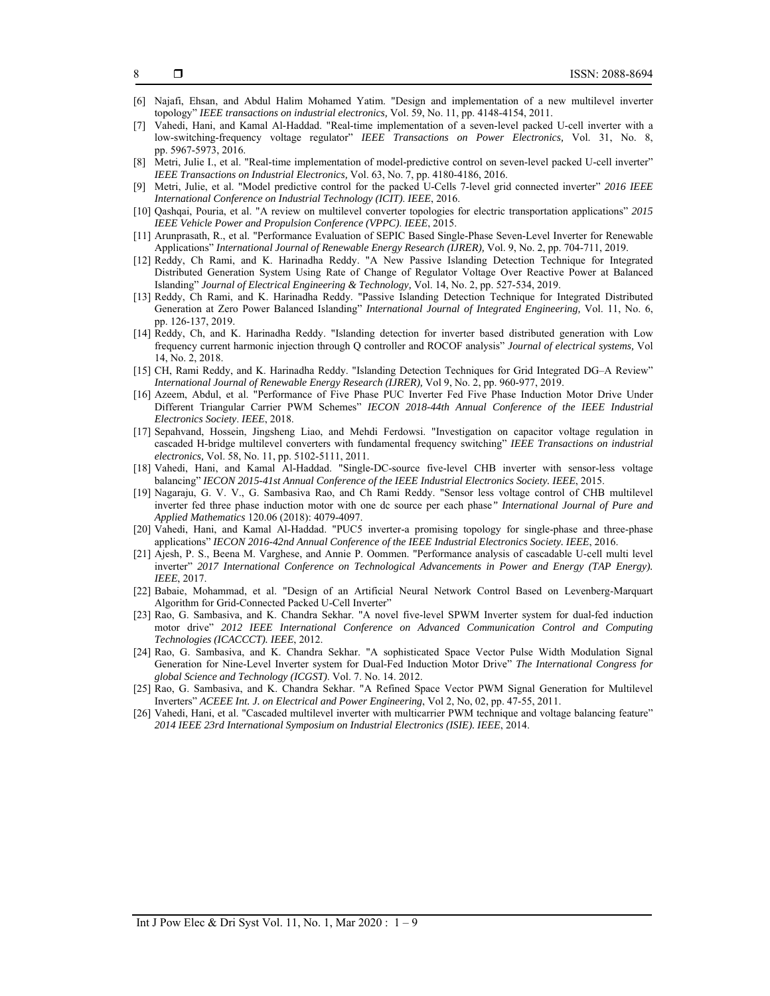- 8
- [6] Najafi, Ehsan, and Abdul Halim Mohamed Yatim. "Design and implementation of a new multilevel inverter topology" *IEEE transactions on industrial electronics,* Vol. 59, No. 11, pp. 4148-4154, 2011.
- [7] Vahedi, Hani, and Kamal Al-Haddad. "Real-time implementation of a seven-level packed U-cell inverter with a low-switching-frequency voltage regulator" *IEEE Transactions on Power Electronics,* Vol. 31, No. 8, pp. 5967-5973, 2016.
- [8] Metri, Julie I., et al. "Real-time implementation of model-predictive control on seven-level packed U-cell inverter" *IEEE Transactions on Industrial Electronics,* Vol. 63, No. 7, pp. 4180-4186, 2016.
- [9] Metri, Julie, et al. "Model predictive control for the packed U-Cells 7-level grid connected inverter" *2016 IEEE International Conference on Industrial Technology (ICIT)*. *IEEE*, 2016.
- [10] Qashqai, Pouria, et al. "A review on multilevel converter topologies for electric transportation applications" *2015 IEEE Vehicle Power and Propulsion Conference (VPPC)*. *IEEE*, 2015.
- [11] Arunprasath, R., et al. "Performance Evaluation of SEPIC Based Single-Phase Seven-Level Inverter for Renewable Applications" *International Journal of Renewable Energy Research (IJRER),* Vol. 9, No. 2, pp. 704-711, 2019.
- [12] Reddy, Ch Rami, and K. Harinadha Reddy. "A New Passive Islanding Detection Technique for Integrated Distributed Generation System Using Rate of Change of Regulator Voltage Over Reactive Power at Balanced Islanding" *Journal of Electrical Engineering & Technology,* Vol. 14, No. 2, pp. 527-534, 2019.
- [13] Reddy, Ch Rami, and K. Harinadha Reddy. "Passive Islanding Detection Technique for Integrated Distributed Generation at Zero Power Balanced Islanding" *International Journal of Integrated Engineering,* Vol. 11, No. 6, pp. 126-137, 2019.
- [14] Reddy, Ch, and K. Harinadha Reddy. "Islanding detection for inverter based distributed generation with Low frequency current harmonic injection through Q controller and ROCOF analysis" *Journal of electrical systems,* Vol 14, No. 2, 2018.
- [15] CH, Rami Reddy, and K. Harinadha Reddy. "Islanding Detection Techniques for Grid Integrated DG–A Review" *International Journal of Renewable Energy Research (IJRER),* Vol 9, No. 2, pp. 960-977, 2019.
- [16] Azeem, Abdul, et al. "Performance of Five Phase PUC Inverter Fed Five Phase Induction Motor Drive Under Different Triangular Carrier PWM Schemes" *IECON 2018-44th Annual Conference of the IEEE Industrial Electronics Society*. *IEEE*, 2018.
- [17] Sepahvand, Hossein, Jingsheng Liao, and Mehdi Ferdowsi. "Investigation on capacitor voltage regulation in cascaded H-bridge multilevel converters with fundamental frequency switching" *IEEE Transactions on industrial electronics,* Vol. 58, No. 11, pp. 5102-5111, 2011.
- [18] Vahedi, Hani, and Kamal Al-Haddad. "Single-DC-source five-level CHB inverter with sensor-less voltage balancing" *IECON 2015-41st Annual Conference of the IEEE Industrial Electronics Society. IEEE*, 2015.
- [19] Nagaraju, G. V. V., G. Sambasiva Rao, and Ch Rami Reddy. "Sensor less voltage control of CHB multilevel inverter fed three phase induction motor with one dc source per each phase*" International Journal of Pure and Applied Mathematics* 120.06 (2018): 4079-4097.
- [20] Vahedi, Hani, and Kamal Al-Haddad. "PUC5 inverter-a promising topology for single-phase and three-phase applications" *IECON 2016-42nd Annual Conference of the IEEE Industrial Electronics Society. IEEE*, 2016.
- [21] Ajesh, P. S., Beena M. Varghese, and Annie P. Oommen. "Performance analysis of cascadable U-cell multi level inverter" 2017 International Conference on Technological Advancements in Power and Energy (TAP Energy). *IEEE*, 2017.
- [22] Babaie, Mohammad, et al. "Design of an Artificial Neural Network Control Based on Levenberg-Marquart Algorithm for Grid-Connected Packed U-Cell Inverter"
- [23] Rao, G. Sambasiva, and K. Chandra Sekhar. "A novel five-level SPWM Inverter system for dual-fed induction motor drive" *2012 IEEE International Conference on Advanced Communication Control and Computing Technologies (ICACCCT). IEEE*, 2012.
- [24] Rao, G. Sambasiva, and K. Chandra Sekhar. "A sophisticated Space Vector Pulse Width Modulation Signal Generation for Nine-Level Inverter system for Dual-Fed Induction Motor Drive" *The International Congress for global Science and Technology (ICGST)*. Vol. 7. No. 14. 2012.
- [25] Rao, G. Sambasiva, and K. Chandra Sekhar. "A Refined Space Vector PWM Signal Generation for Multilevel Inverters" *ACEEE Int. J. on Electrical and Power Engineering*, Vol 2, No, 02, pp. 47-55, 2011.
- [26] Vahedi, Hani, et al. "Cascaded multilevel inverter with multicarrier PWM technique and voltage balancing feature" *2014 IEEE 23rd International Symposium on Industrial Electronics (ISIE). IEEE*, 2014.